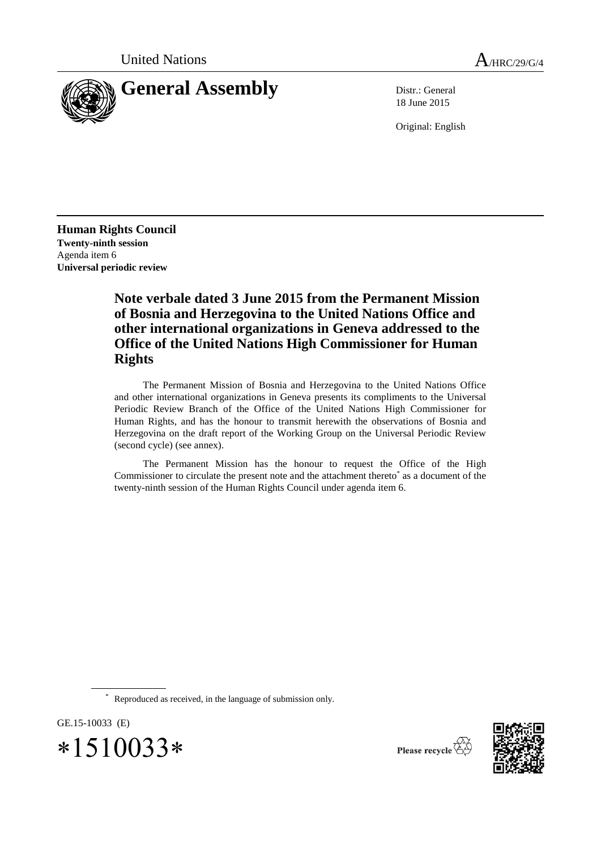

18 June 2015

Original: English

**Human Rights Council Twenty-ninth session** Agenda item 6 **Universal periodic review**

# **Note verbale dated 3 June 2015 from the Permanent Mission of Bosnia and Herzegovina to the United Nations Office and other international organizations in Geneva addressed to the Office of the United Nations High Commissioner for Human Rights**

The Permanent Mission of Bosnia and Herzegovina to the United Nations Office and other international organizations in Geneva presents its compliments to the Universal Periodic Review Branch of the Office of the United Nations High Commissioner for Human Rights, and has the honour to transmit herewith the observations of Bosnia and Herzegovina on the draft report of the Working Group on the Universal Periodic Review (second cycle) (see annex).

The Permanent Mission has the honour to request the Office of the High Commissioner to circulate the present note and the attachment thereto\* as a document of the twenty-ninth session of the Human Rights Council under agenda item 6.

Reproduced as received, in the language of submission only.

GE.15-10033 (E)  $*1510033*$ 

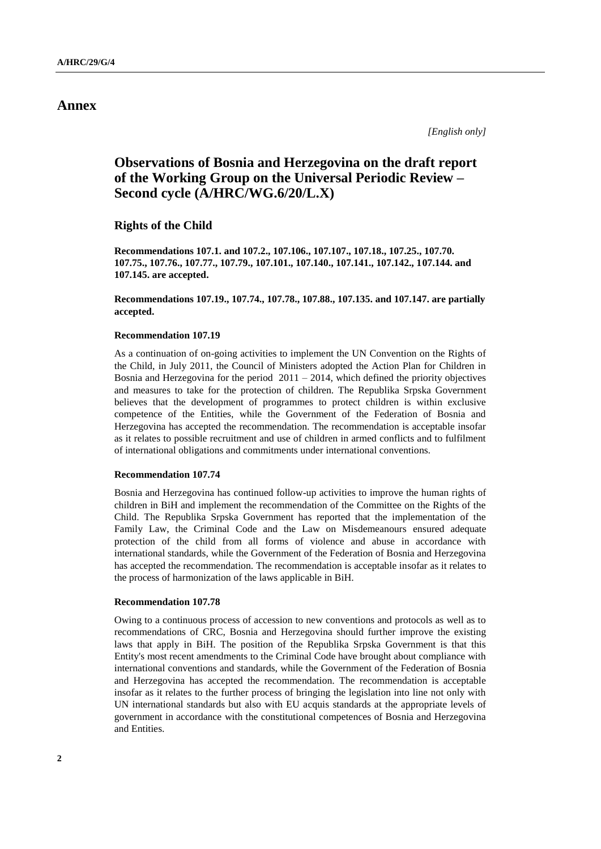# **Annex**

*[English only]*

# **Observations of Bosnia and Herzegovina on the draft report of the Working Group on the Universal Periodic Review – Second cycle (A/HRC/WG.6/20/L.X)**

**Rights of the Child**

**Recommendations 107.1. and 107.2., 107.106., 107.107., 107.18., 107.25., 107.70. 107.75., 107.76., 107.77., 107.79., 107.101., 107.140., 107.141., 107.142., 107.144. and 107.145. are accepted.**

**Recommendations 107.19., 107.74., 107.78., 107.88., 107.135. and 107.147. are partially accepted.**

### **Recommendation 107.19**

As a continuation of on-going activities to implement the UN Convention on the Rights of the Child, in July 2011, the Council of Ministers adopted the Action Plan for Children in Bosnia and Herzegovina for the period  $2011 - 2014$ , which defined the priority objectives and measures to take for the protection of children. The Republika Srpska Government believes that the development of programmes to protect children is within exclusive competence of the Entities, while the Government of the Federation of Bosnia and Herzegovina has accepted the recommendation. The recommendation is acceptable insofar as it relates to possible recruitment and use of children in armed conflicts and to fulfilment of international obligations and commitments under international conventions.

#### **Recommendation 107.74**

Bosnia and Herzegovina has continued follow-up activities to improve the human rights of children in BiH and implement the recommendation of the Committee on the Rights of the Child. The Republika Srpska Government has reported that the implementation of the Family Law, the Criminal Code and the Law on Misdemeanours ensured adequate protection of the child from all forms of violence and abuse in accordance with international standards, while the Government of the Federation of Bosnia and Herzegovina has accepted the recommendation. The recommendation is acceptable insofar as it relates to the process of harmonization of the laws applicable in BiH.

#### **Recommendation 107.78**

Owing to a continuous process of accession to new conventions and protocols as well as to recommendations of CRC, Bosnia and Herzegovina should further improve the existing laws that apply in BiH. The position of the Republika Srpska Government is that this Entity's most recent amendments to the Criminal Code have brought about compliance with international conventions and standards, while the Government of the Federation of Bosnia and Herzegovina has accepted the recommendation. The recommendation is acceptable insofar as it relates to the further process of bringing the legislation into line not only with UN international standards but also with EU acquis standards at the appropriate levels of government in accordance with the constitutional competences of Bosnia and Herzegovina and Entities.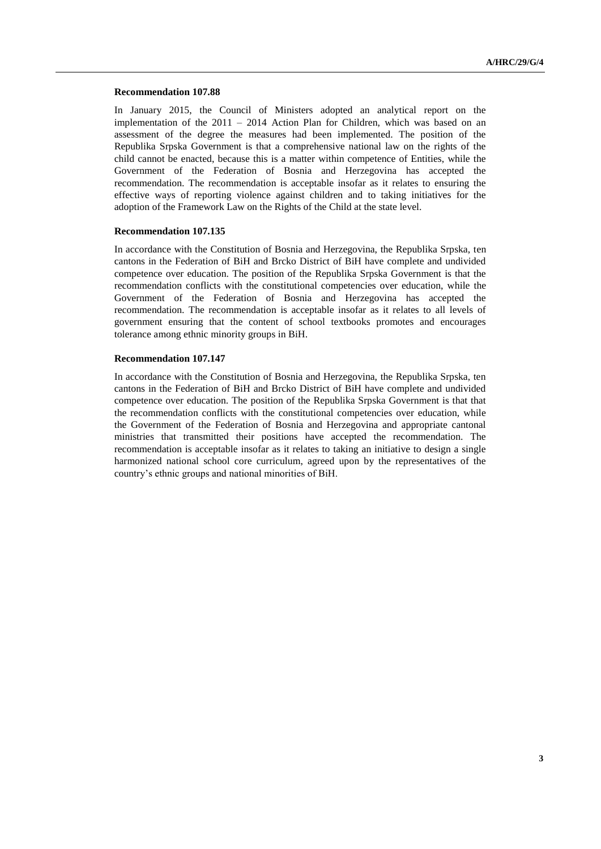#### **Recommendation 107.88**

In January 2015, the Council of Ministers adopted an analytical report on the implementation of the 2011 – 2014 Action Plan for Children, which was based on an assessment of the degree the measures had been implemented. The position of the Republika Srpska Government is that a comprehensive national law on the rights of the child cannot be enacted, because this is a matter within competence of Entities, while the Government of the Federation of Bosnia and Herzegovina has accepted the recommendation. The recommendation is acceptable insofar as it relates to ensuring the effective ways of reporting violence against children and to taking initiatives for the adoption of the Framework Law on the Rights of the Child at the state level.

#### **Recommendation 107.135**

In accordance with the Constitution of Bosnia and Herzegovina, the Republika Srpska, ten cantons in the Federation of BiH and Brcko District of BiH have complete and undivided competence over education. The position of the Republika Srpska Government is that the recommendation conflicts with the constitutional competencies over education, while the Government of the Federation of Bosnia and Herzegovina has accepted the recommendation. The recommendation is acceptable insofar as it relates to all levels of government ensuring that the content of school textbooks promotes and encourages tolerance among ethnic minority groups in BiH.

### **Recommendation 107.147**

In accordance with the Constitution of Bosnia and Herzegovina, the Republika Srpska, ten cantons in the Federation of BiH and Brcko District of BiH have complete and undivided competence over education. The position of the Republika Srpska Government is that that the recommendation conflicts with the constitutional competencies over education, while the Government of the Federation of Bosnia and Herzegovina and appropriate cantonal ministries that transmitted their positions have accepted the recommendation. The recommendation is acceptable insofar as it relates to taking an initiative to design a single harmonized national school core curriculum, agreed upon by the representatives of the country's ethnic groups and national minorities of BiH.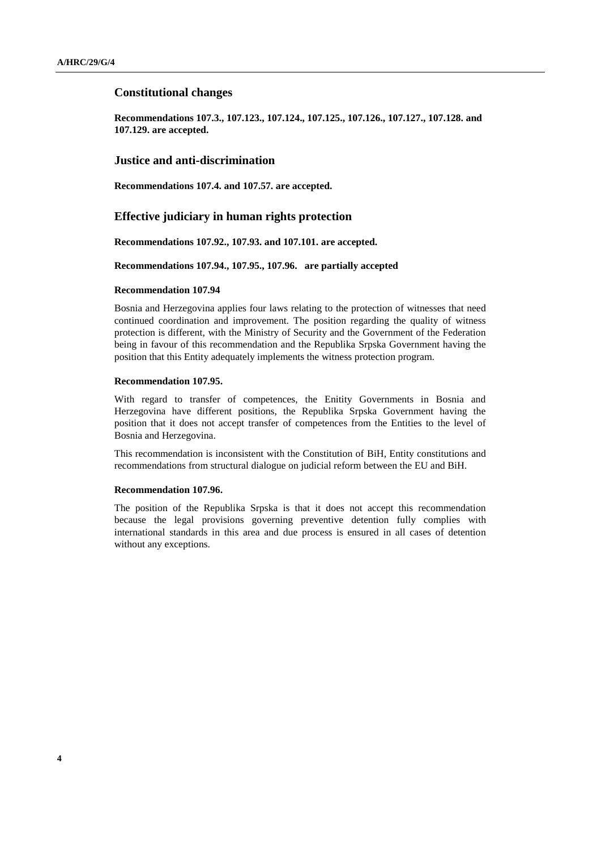### **Constitutional changes**

**Recommendations 107.3., 107.123., 107.124., 107.125., 107.126., 107.127., 107.128. and 107.129. are accepted.** 

### **Justice and anti-discrimination**

**Recommendations 107.4. and 107.57. are accepted.**

### **Effective judiciary in human rights protection**

**Recommendations 107.92., 107.93. and 107.101. are accepted.**

#### **Recommendations 107.94., 107.95., 107.96. are partially accepted**

#### **Recommendation 107.94**

Bosnia and Herzegovina applies four laws relating to the protection of witnesses that need continued coordination and improvement. The position regarding the quality of witness protection is different, with the Ministry of Security and the Government of the Federation being in favour of this recommendation and the Republika Srpska Government having the position that this Entity adequately implements the witness protection program.

#### **Recommendation 107.95.**

With regard to transfer of competences, the Enitity Governments in Bosnia and Herzegovina have different positions, the Republika Srpska Government having the position that it does not accept transfer of competences from the Entities to the level of Bosnia and Herzegovina.

This recommendation is inconsistent with the Constitution of BiH, Entity constitutions and recommendations from structural dialogue on judicial reform between the EU and BiH.

#### **Recommendation 107.96.**

The position of the Republika Srpska is that it does not accept this recommendation because the legal provisions governing preventive detention fully complies with international standards in this area and due process is ensured in all cases of detention without any exceptions.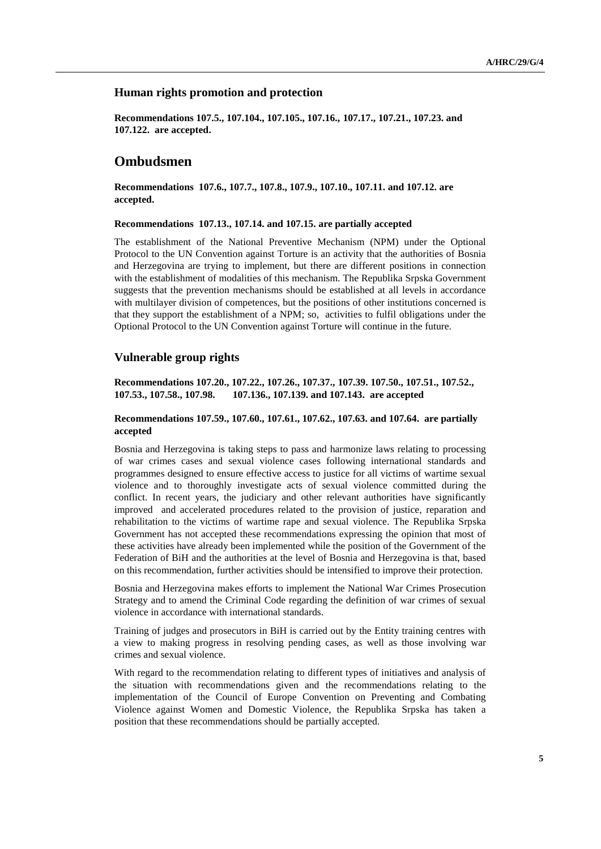### **Human rights promotion and protection**

**Recommendations 107.5., 107.104., 107.105., 107.16., 107.17., 107.21., 107.23. and 107.122. are accepted.**

# **Ombudsmen**

**Recommendations 107.6., 107.7., 107.8., 107.9., 107.10., 107.11. and 107.12. are accepted.**

#### **Recommendations 107.13., 107.14. and 107.15. are partially accepted**

The establishment of the National Preventive Mechanism (NPM) under the Optional Protocol to the UN Convention against Torture is an activity that the authorities of Bosnia and Herzegovina are trying to implement, but there are different positions in connection with the establishment of modalities of this mechanism. The Republika Srpska Government suggests that the prevention mechanisms should be established at all levels in accordance with multilayer division of competences, but the positions of other institutions concerned is that they support the establishment of a NPM; so, activities to fulfil obligations under the Optional Protocol to the UN Convention against Torture will continue in the future.

# **Vulnerable group rights**

**Recommendations 107.20., 107.22., 107.26., 107.37., 107.39. 107.50., 107.51., 107.52., 107.53., 107.58., 107.98. 107.136., 107.139. and 107.143. are accepted**

### **Recommendations 107.59., 107.60., 107.61., 107.62., 107.63. and 107.64. are partially accepted**

Bosnia and Herzegovina is taking steps to pass and harmonize laws relating to processing of war crimes cases and sexual violence cases following international standards and programmes designed to ensure effective access to justice for all victims of wartime sexual violence and to thoroughly investigate acts of sexual violence committed during the conflict. In recent years, the judiciary and other relevant authorities have significantly improved and accelerated procedures related to the provision of justice, reparation and rehabilitation to the victims of wartime rape and sexual violence. The Republika Srpska Government has not accepted these recommendations expressing the opinion that most of these activities have already been implemented while the position of the Government of the Federation of BiH and the authorities at the level of Bosnia and Herzegovina is that, based on this recommendation, further activities should be intensified to improve their protection.

Bosnia and Herzegovina makes efforts to implement the National War Crimes Prosecution Strategy and to amend the Criminal Code regarding the definition of war crimes of sexual violence in accordance with international standards.

Training of judges and prosecutors in BiH is carried out by the Entity training centres with a view to making progress in resolving pending cases, as well as those involving war crimes and sexual violence.

With regard to the recommendation relating to different types of initiatives and analysis of the situation with recommendations given and the recommendations relating to the implementation of the Council of Europe Convention on Preventing and Combating Violence against Women and Domestic Violence, the Republika Srpska has taken a position that these recommendations should be partially accepted.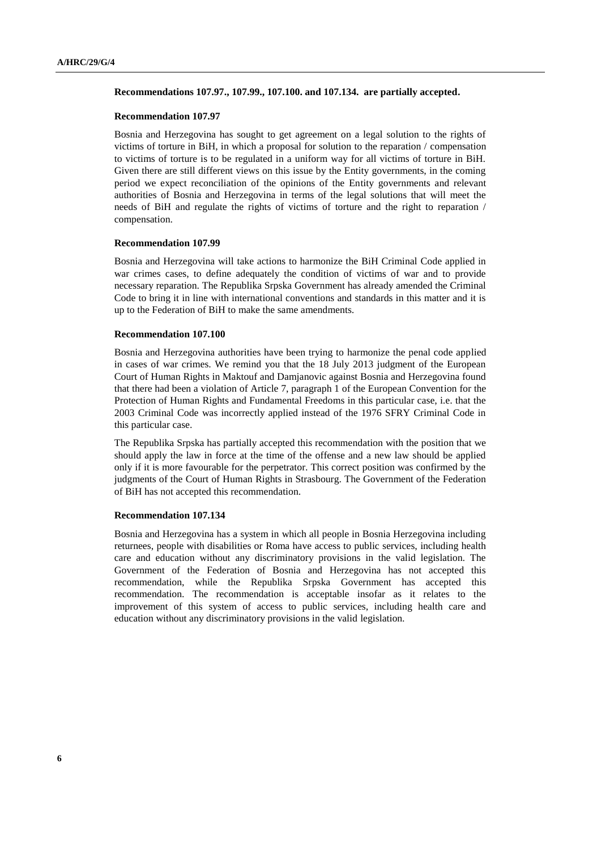#### **Recommendations 107.97., 107.99., 107.100. and 107.134. are partially accepted.**

#### **Recommendation 107.97**

Bosnia and Herzegovina has sought to get agreement on a legal solution to the rights of victims of torture in BiH, in which a proposal for solution to the reparation / compensation to victims of torture is to be regulated in a uniform way for all victims of torture in BiH. Given there are still different views on this issue by the Entity governments, in the coming period we expect reconciliation of the opinions of the Entity governments and relevant authorities of Bosnia and Herzegovina in terms of the legal solutions that will meet the needs of BiH and regulate the rights of victims of torture and the right to reparation / compensation.

#### **Recommendation 107.99**

Bosnia and Herzegovina will take actions to harmonize the BiH Criminal Code applied in war crimes cases, to define adequately the condition of victims of war and to provide necessary reparation. The Republika Srpska Government has already amended the Criminal Code to bring it in line with international conventions and standards in this matter and it is up to the Federation of BiH to make the same amendments.

#### **Recommendation 107.100**

Bosnia and Herzegovina authorities have been trying to harmonize the penal code applied in cases of war crimes. We remind you that the 18 July 2013 judgment of the European Court of Human Rights in Maktouf and Damjanovic against Bosnia and Herzegovina found that there had been a violation of Article 7, paragraph 1 of the European Convention for the Protection of Human Rights and Fundamental Freedoms in this particular case, i.e. that the 2003 Criminal Code was incorrectly applied instead of the 1976 SFRY Criminal Code in this particular case.

The Republika Srpska has partially accepted this recommendation with the position that we should apply the law in force at the time of the offense and a new law should be applied only if it is more favourable for the perpetrator. This correct position was confirmed by the judgments of the Court of Human Rights in Strasbourg. The Government of the Federation of BiH has not accepted this recommendation.

#### **Recommendation 107.134**

Bosnia and Herzegovina has a system in which all people in Bosnia Herzegovina including returnees, people with disabilities or Roma have access to public services, including health care and education without any discriminatory provisions in the valid legislation. The Government of the Federation of Bosnia and Herzegovina has not accepted this recommendation, while the Republika Srpska Government has accepted this recommendation. The recommendation is acceptable insofar as it relates to the improvement of this system of access to public services, including health care and education without any discriminatory provisions in the valid legislation.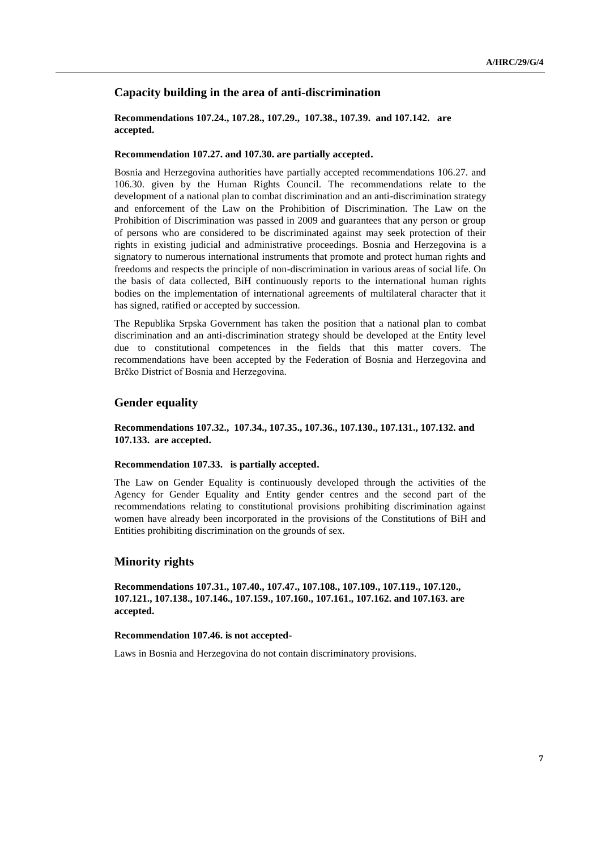# **Capacity building in the area of anti-discrimination**

### **Recommendations 107.24., 107.28., 107.29., 107.38., 107.39. and 107.142. are accepted.**

#### **Recommendation 107.27. and 107.30. are partially accepted.**

Bosnia and Herzegovina authorities have partially accepted recommendations 106.27. and 106.30. given by the Human Rights Council. The recommendations relate to the development of a national plan to combat discrimination and an anti-discrimination strategy and enforcement of the Law on the Prohibition of Discrimination. The Law on the Prohibition of Discrimination was passed in 2009 and guarantees that any person or group of persons who are considered to be discriminated against may seek protection of their rights in existing judicial and administrative proceedings. Bosnia and Herzegovina is a signatory to numerous international instruments that promote and protect human rights and freedoms and respects the principle of non-discrimination in various areas of social life. On the basis of data collected, BiH continuously reports to the international human rights bodies on the implementation of international agreements of multilateral character that it has signed, ratified or accepted by succession.

The Republika Srpska Government has taken the position that a national plan to combat discrimination and an anti-discrimination strategy should be developed at the Entity level due to constitutional competences in the fields that this matter covers. The recommendations have been accepted by the Federation of Bosnia and Herzegovina and Brčko District of Bosnia and Herzegovina.

# **Gender equality**

### **Recommendations 107.32., 107.34., 107.35., 107.36., 107.130., 107.131., 107.132. and 107.133. are accepted.**

#### **Recommendation 107.33. is partially accepted.**

The Law on Gender Equality is continuously developed through the activities of the Agency for Gender Equality and Entity gender centres and the second part of the recommendations relating to constitutional provisions prohibiting discrimination against women have already been incorporated in the provisions of the Constitutions of BiH and Entities prohibiting discrimination on the grounds of sex.

## **Minority rights**

**Recommendations 107.31., 107.40., 107.47., 107.108., 107.109., 107.119., 107.120., 107.121., 107.138., 107.146., 107.159., 107.160., 107.161., 107.162. and 107.163. are accepted.**

#### **Recommendation 107.46. is not accepted-**

Laws in Bosnia and Herzegovina do not contain discriminatory provisions.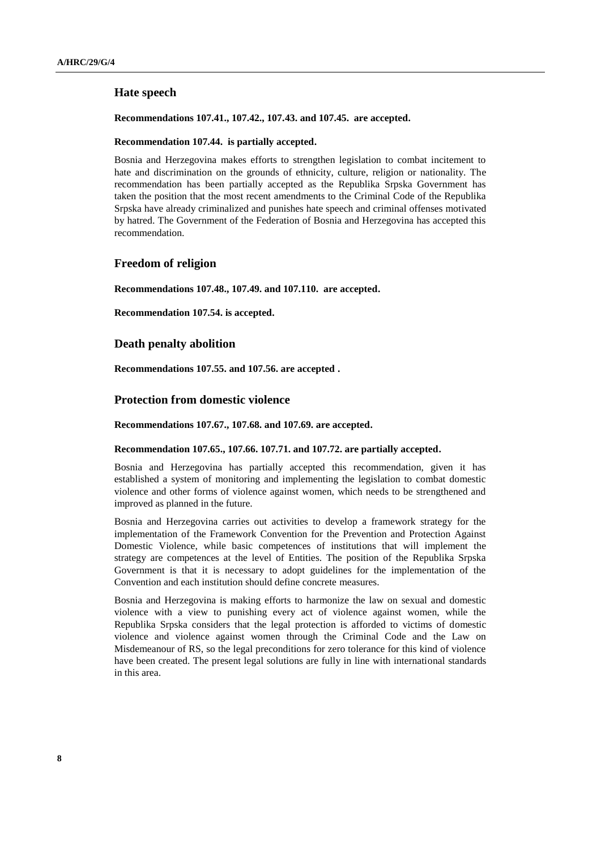# **Hate speech**

### **Recommendations 107.41., 107.42., 107.43. and 107.45. are accepted.**

### **Recommendation 107.44. is partially accepted.**

Bosnia and Herzegovina makes efforts to strengthen legislation to combat incitement to hate and discrimination on the grounds of ethnicity, culture, religion or nationality. The recommendation has been partially accepted as the Republika Srpska Government has taken the position that the most recent amendments to the Criminal Code of the Republika Srpska have already criminalized and punishes hate speech and criminal offenses motivated by hatred. The Government of the Federation of Bosnia and Herzegovina has accepted this recommendation.

## **Freedom of religion**

**Recommendations 107.48., 107.49. and 107.110. are accepted.**

**Recommendation 107.54. is accepted.**

### **Death penalty abolition**

**Recommendations 107.55. and 107.56. are accepted .**

### **Protection from domestic violence**

**Recommendations 107.67., 107.68. and 107.69. are accepted.**

#### **Recommendation 107.65., 107.66. 107.71. and 107.72. are partially accepted.**

Bosnia and Herzegovina has partially accepted this recommendation, given it has established a system of monitoring and implementing the legislation to combat domestic violence and other forms of violence against women, which needs to be strengthened and improved as planned in the future.

Bosnia and Herzegovina carries out activities to develop a framework strategy for the implementation of the Framework Convention for the Prevention and Protection Against Domestic Violence, while basic competences of institutions that will implement the strategy are competences at the level of Entities. The position of the Republika Srpska Government is that it is necessary to adopt guidelines for the implementation of the Convention and each institution should define concrete measures.

Bosnia and Herzegovina is making efforts to harmonize the law on sexual and domestic violence with a view to punishing every act of violence against women, while the Republika Srpska considers that the legal protection is afforded to victims of domestic violence and violence against women through the Criminal Code and the Law on Misdemeanour of RS, so the legal preconditions for zero tolerance for this kind of violence have been created. The present legal solutions are fully in line with international standards in this area.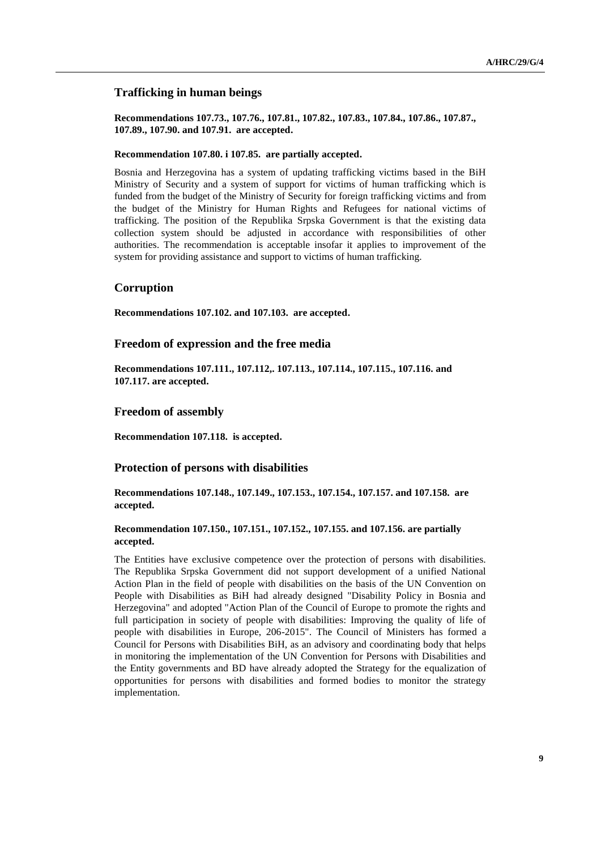# **Trafficking in human beings**

**Recommendations 107.73., 107.76., 107.81., 107.82., 107.83., 107.84., 107.86., 107.87., 107.89., 107.90. and 107.91. are accepted.**

# **Recommendation 107.80. i 107.85. are partially accepted.**

Bosnia and Herzegovina has a system of updating trafficking victims based in the BiH Ministry of Security and a system of support for victims of human trafficking which is funded from the budget of the Ministry of Security for foreign trafficking victims and from the budget of the Ministry for Human Rights and Refugees for national victims of trafficking. The position of the Republika Srpska Government is that the existing data collection system should be adjusted in accordance with responsibilities of other authorities. The recommendation is acceptable insofar it applies to improvement of the system for providing assistance and support to victims of human trafficking.

### **Corruption**

**Recommendations 107.102. and 107.103. are accepted.**

### **Freedom of expression and the free media**

**Recommendations 107.111., 107.112,. 107.113., 107.114., 107.115., 107.116. and 107.117. are accepted.**

#### **Freedom of assembly**

**Recommendation 107.118. is accepted.**

### **Protection of persons with disabilities**

**Recommendations 107.148., 107.149., 107.153., 107.154., 107.157. and 107.158. are accepted.**

### **Recommendation 107.150., 107.151., 107.152., 107.155. and 107.156. are partially accepted.**

The Entities have exclusive competence over the protection of persons with disabilities. The Republika Srpska Government did not support development of a unified National Action Plan in the field of people with disabilities on the basis of the UN Convention on People with Disabilities as BiH had already designed "Disability Policy in Bosnia and Herzegovina" and adopted "Action Plan of the Council of Europe to promote the rights and full participation in society of people with disabilities: Improving the quality of life of people with disabilities in Europe, 206-2015". The Council of Ministers has formed a Council for Persons with Disabilities BiH, as an advisory and coordinating body that helps in monitoring the implementation of the UN Convention for Persons with Disabilities and the Entity governments and BD have already adopted the Strategy for the equalization of opportunities for persons with disabilities and formed bodies to monitor the strategy implementation.